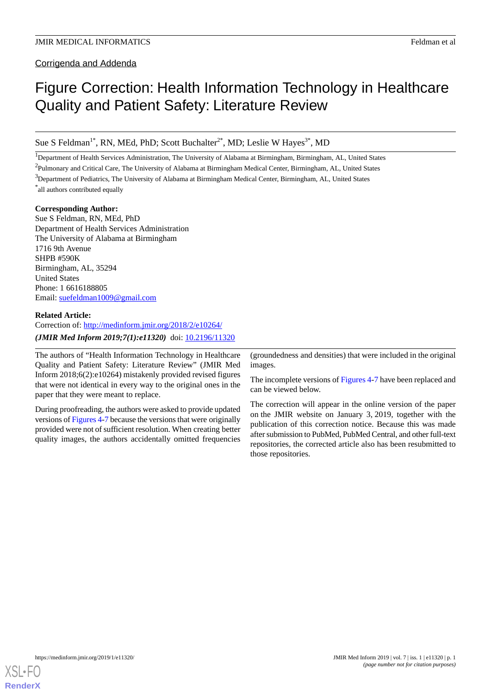Corrigenda and Addenda

# Figure Correction: Health Information Technology in Healthcare Quality and Patient Safety: Literature Review

Sue S Feldman<sup>1\*</sup>, RN, MEd, PhD; Scott Buchalter<sup>2\*</sup>, MD; Leslie W Hayes<sup>3\*</sup>, MD

<sup>1</sup>Department of Health Services Administration, The University of Alabama at Birmingham, Birmingham, AL, United States

 $^{2}$ Pulmonary and Critical Care, The University of Alabama at Birmingham Medical Center, Birmingham, AL, United States

<sup>3</sup>Department of Pediatrics, The University of Alabama at Birmingham Medical Center, Birmingham, AL, United States \* all authors contributed equally

#### **Corresponding Author:**

Sue S Feldman, RN, MEd, PhD Department of Health Services Administration The University of Alabama at Birmingham 1716 9th Avenue SHPB #590K Birmingham, AL, 35294 United States Phone: 1 6616188805 Email: [suefeldman1009@gmail.com](mailto:suefeldman1009@gmail.com)

#### **Related Article:**

Correction of:<http://medinform.jmir.org/2018/2/e10264/> (JMIR Med Inform 2019;7(1):e11320) doi: [10.2196/11320](http://dx.doi.org/10.2196/11320)

The authors of "Health Information Technology in Healthcare Quality and Patient Safety: Literature Review" (JMIR Med Inform 2018;6(2):e10264) mistakenly provided revised figures that were not identical in every way to the original ones in the paper that they were meant to replace.

During proofreading, the authors were asked to provide updated versions of Figures 4-[7](#page-5-0) because the versions that were originally provided were not of sufficient resolution. When creating better quality images, the authors accidentally omitted frequencies

(groundedness and densities) that were included in the original images.

The incomplete versions of Figures 4-[7](#page-5-0) have been replaced and can be viewed below.

The correction will appear in the online version of the paper on the JMIR website on January 3, 2019, together with the publication of this correction notice. Because this was made after submission to PubMed, PubMed Central, and other full-text repositories, the corrected article also has been resubmitted to those repositories.

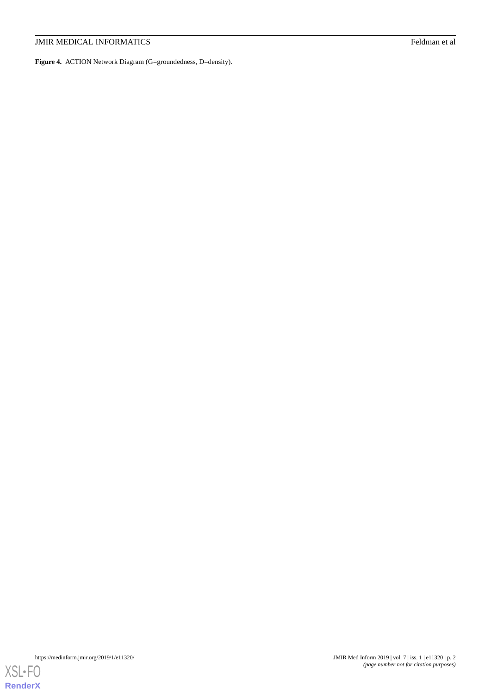**Figure 4.** ACTION Network Diagram (G=groundedness, D=density).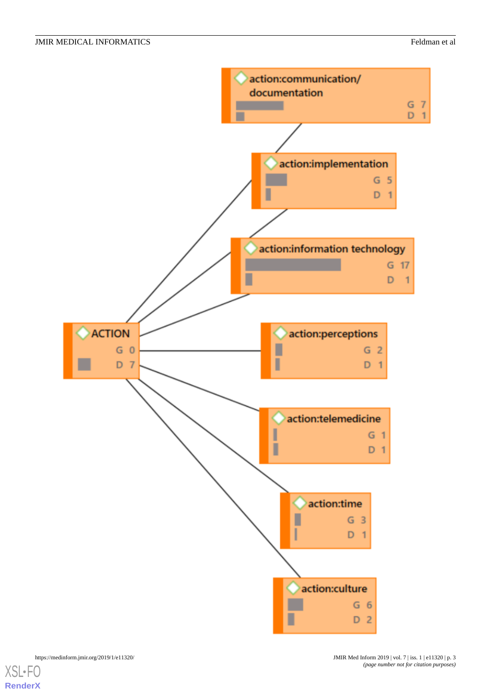



[XSL](http://www.w3.org/Style/XSL)•FO **[RenderX](http://www.renderx.com/)**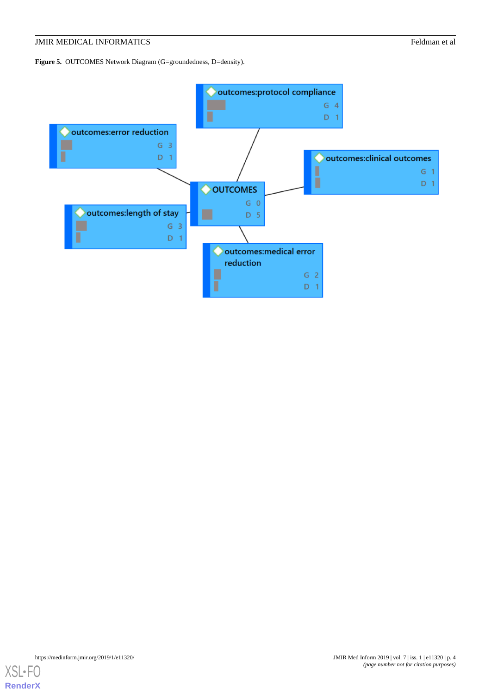Figure 5. OUTCOMES Network Diagram (G=groundedness, D=density).

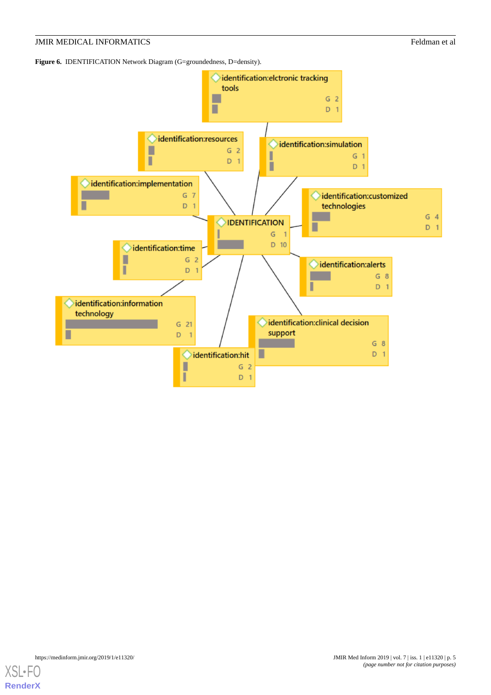Figure 6. **IDENTIFICATION** Network Diagram (G=groundedness, D=density).